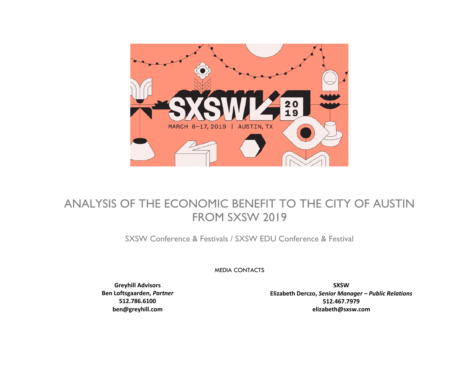

### ANALYSIS OF THE ECONOMIC BENEFIT TO THE CITY OF AUSTIN FROM SXSW 2019

SXSW Conference & Festivals / SXSW EDU Conference & Festival

MEDIA CONTACTS

**Greyhill Advisors Ben Loftsgaarden,** *Partner* **512.786.6100 ben@greyhill.com**

**SXSW Elizabeth Derczo,** *Senior Manager – Public Relations* **512.467.7979 elizabeth@sxsw.com**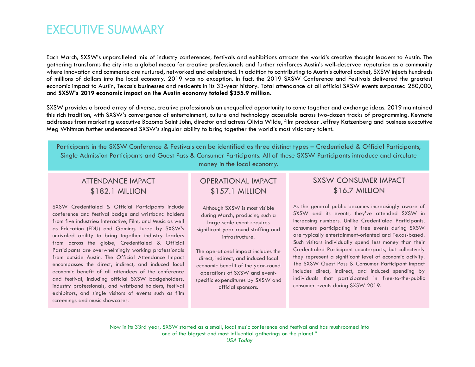### **EXECUTIVE SUMMARY**

Each March, SXSW's unparalleled mix of industry conferences, festivals and exhibitions attracts the world's creative thought leaders to Austin. The gathering transforms the city into a global mecca for creative professionals and further reinforces Austin's well-deserved reputation as a community where innovation and commerce are nurtured, networked and celebrated. In addition to contributing to Austin's cultural cachet, SXSW injects hundreds of millions of dollars into the local economy. 2019 was no exception. In fact, the 2019 SXSW Conference and Festivals delivered the greatest economic impact to Austin, Texas's businesses and residents in its 33-year history. Total attendance at all official SXSW events surpassed 280,000, and **SXSW's 2019 economic impact on the Austin economy totaled \$355.9 million.**

SXSW provides a broad array of diverse, creative professionals an unequalled opportunity to come together and exchange ideas. 2019 maintained this rich tradition, with SXSW's convergence of entertainment, culture and technology accessible across two-dozen tracks of programming. Keynote addresses from marketing executive Bozoma Saint John, director and actress Olivia Wilde, film producer Jeffrey Katzenberg and business executive Meg Whitman further underscored SXSW's singular ability to bring together the world's most visionary talent.

Participants in the SXSW Conference & Festivals can be identified as three distinct types – Credentialed & Official Participants, Single Admission Participants and Guest Pass & Consumer Participants. All of these SXSW Participants introduce and circulate money in the local economy.

#### ATTENDANCE IMPACT \$182.1 MILLION

SXSW Credentialed & Official Participants include conference and festival badge and wristband holders from five industries: Interactive, Film, and Music as well as Education (EDU) and Gaming. Lured by SXSW's unrivaled ability to bring together industry leaders from across the globe, Credentialed & Official Participants are overwhelmingly working professionals from outside Austin. The Official Attendance Impact encompasses the direct, indirect, and induced local economic benefit of all attendees of the conference and festival, including official SXSW badgeholders, industry professionals, and wristband holders, festival exhibitors, and single visitors of events such as film screenings and music showcases.

#### OPERATIONAL IMPACT \$157.1 MILLION

Although SXSW is most visible during March, producing such a large-scale event requires significant year-round staffing and infrastructure.

The operational impact includes the direct, indirect, and induced local economic benefit of the year-round operations of SXSW and eventspecific expenditures by SXSW and official sponsors.

#### SXSW CONSUMER IMPACT \$16.7 MILLION

As the general public becomes increasingly aware of SXSW and its events, they've attended SXSW in increasing numbers. Unlike Credentialed Participants, consumers participating in free events during SXSW are typically entertainment-oriented and Texas-based. Such visitors individually spend less money than their Credentialed Participant counterparts, but collectively they represent a significant level of economic activity. The SXSW Guest Pass & Consumer Participant impact includes direct, indirect, and induced spending by individuals that participated in free-to-the-public consumer events during SXSW 2019.

Now in its 33rd year, SXSW started as a small, local music conference and festival and has mushroomed into one of the biggest and most influential gatherings on the planet." *USA Today*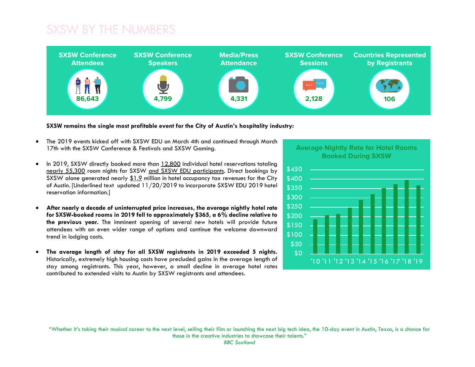### SXSW BY THE NUMBERS



**SXSW remains the single most profitable event for the City of Austin's hospitality industry:**

- The 2019 events kicked off with SXSW EDU on March 4th and continued through March 17th with the SXSW Conference & Festivals and SXSW Gaming.
- In 2019, SXSW directly booked more than 12,800 individual hotel reservations totaling nearly 55,300 room nights for SXSW and SXSW EDU participants. Direct bookings by SXSW alone generated nearly \$1.9 million in hotel occupancy tax revenues for the City of Austin. [Underlined text updated 11/20/2019 to incorporate SXSW EDU 2019 hotel reservation information.]
- **After nearly a decade of uninterrupted price increases, the average nightly hotel rate for SXSW-booked rooms in 2019 fell to approximately \$365, a 6% decline relative to the previous year.** The imminent opening of several new hotels will provide future attendees with an even wider range of options and continue the welcome downward trend in lodging costs.
- **The average length of stay for all SXSW registrants in 2019 exceeded 5 nights.** Historically, extremely high housing costs have precluded gains in the average length of stay among registrants. This year, however, a small decline in average hotel rates contributed to extended visits to Austin by SXSW registrants and attendees.

**Average Nightly Rate for Hotel Rooms Booked During SXSW**



"Whether it's taking their musical career to the next level, selling their film or launching the next big tech idea, the 10-day event in Austin, Texas, is a chance for those in the creative industries to showcase their talents."

*BBC Scotland*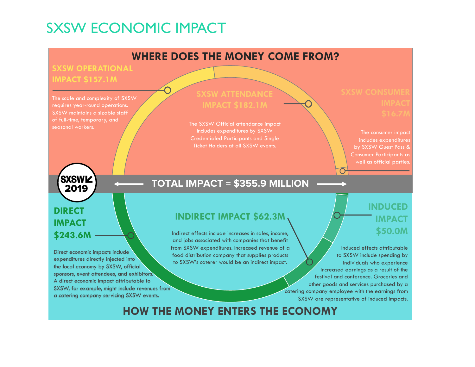# SXSW ECONOMIC IMPACT

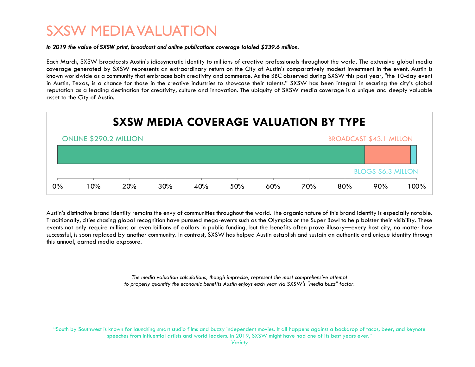## SXSW MEDIA VALUATION

#### *In 2019 the value of SXSW print, broadcast and online publications coverage totaled \$339.6 million.*

Each March, SXSW broadcasts Austin's idiosyncratic identity to millions of creative professionals throughout the world. The extensive global media coverage generated by SXSW represents an extraordinary return on the City of Austin's comparatively modest investment in the event. Austin is known worldwide as a community that embraces both creativity and commerce. As the BBC observed during SXSW this past year, "the 10-day event in Austin, Texas, is a chance for those in the creative industries to showcase their talents." SXSW has been integral in securing the city's global reputation as a leading destination for creativity, culture and innovation. The ubiquity of SXSW media coverage is a unique and deeply valuable asset to the City of Austin.



Austin's distinctive brand identity remains the envy of communities throughout the world. The organic nature of this brand identity is especially notable. Traditionally, cities chasing global recognition have pursued mega-events such as the Olympics or the Super Bowl to help bolster their visibility. These events not only require millions or even billions of dollars in public funding, but the benefits often prove illusory—every host city, no matter how successful, is soon replaced by another community. In contrast, SXSW has helped Austin establish and sustain an authentic and unique identity through this annual, earned media exposure.

> *The media valuation calculations, though imprecise, represent the most comprehensive attempt to properly quantify the economic benefits Austin enjoys each year via SXSW's "media buzz" factor.*

"South by Southwest is known for launching smart studio films and buzzy independent movies. It all happens against a backdrop of tacos, beer, and keynote speeches from influential artists and world leaders. In 2019, SXSW might have had one of its best years ever."